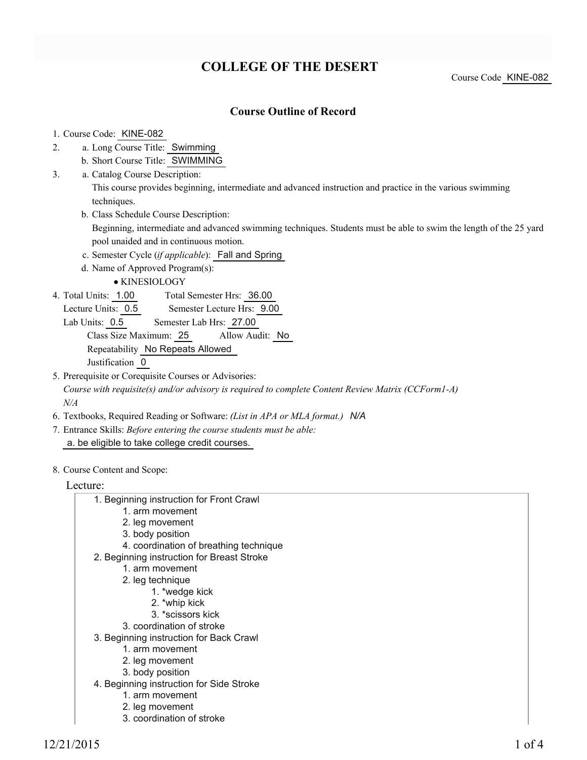# **COLLEGE OF THE DESERT**

Course Code KINE-082

### **Course Outline of Record**

#### 1. Course Code: KINE-082

- a. Long Course Title: Swimming 2.
	- b. Short Course Title: SWIMMING
- Catalog Course Description: a. 3.

This course provides beginning, intermediate and advanced instruction and practice in the various swimming techniques.

b. Class Schedule Course Description:

Beginning, intermediate and advanced swimming techniques. Students must be able to swim the length of the 25 yard pool unaided and in continuous motion.

- c. Semester Cycle (*if applicable*): Fall and Spring
- d. Name of Approved Program(s):

KINESIOLOGY

Total Semester Hrs: 36.00 4. Total Units: 1.00

Lecture Units: 0.5 Semester Lecture Hrs: 9.00

- Lab Units: 0.5 Semester Lab Hrs: 27.00 Class Size Maximum: 25 Allow Audit: No Repeatability No Repeats Allowed Justification 0
- 5. Prerequisite or Corequisite Courses or Advisories:

*Course with requisite(s) and/or advisory is required to complete Content Review Matrix (CCForm1-A) N/A*

- 6. Textbooks, Required Reading or Software: *(List in APA or MLA format.) N/A*
- Entrance Skills: *Before entering the course students must be able:* 7. a. be eligible to take college credit courses.
- 8. Course Content and Scope:

#### Lecture:

- 1. Beginning instruction for Front Crawl
	- 1. arm movement
	- 2. leg movement
	- 3. body position
	- 4. coordination of breathing technique
- 2. Beginning instruction for Breast Stroke
	- 1. arm movement
	- 2. leg technique
		- 1. \*wedge kick
		- 2. \*whip kick
		- 3. \*scissors kick
	- 3. coordination of stroke
- 3. Beginning instruction for Back Crawl
	- 1. arm movement
	- 2. leg movement
	- 3. body position
- 4. Beginning instruction for Side Stroke
	- 1. arm movement
	- 2. leg movement
	- 3. coordination of stroke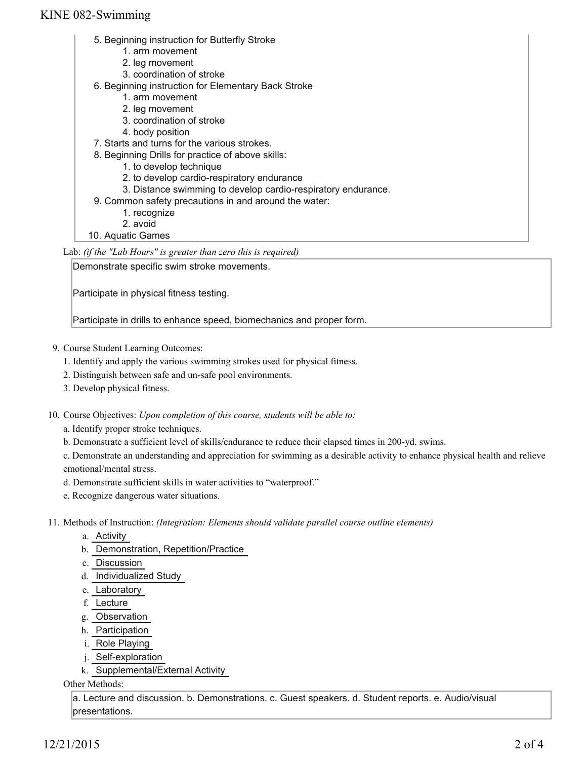### KINE 082-Swimming

- 5. Beginning instruction for Butterfly Stroke
	- 1. arm movement
	- 2. leg movement
	- 3. coordination of stroke
- 6. Beginning instruction for Elementary Back Stroke
	- 1. arm movement
	- 2. leg movement
	- 3. coordination of stroke
	- 4. body position
- 7. Starts and turns for the various strokes.
- 8. Beginning Drills for practice of above skills:
	- 1. to develop technique
	- 2. to develop cardio-respiratory endurance
	- 3. Distance swimming to develop cardio-respiratory endurance.
- 9. Common safety precautions in and around the water:
	- 1. recognize
	- 2. avoid

10. Aquatic Games

Lab: *(if the "Lab Hours" is greater than zero this is required)*

Demonstrate specific swim stroke movements.

Participate in physical fitness testing.

Participate in drills to enhance speed, biomechanics and proper form.

- 9. Course Student Learning Outcomes:
	- 1. Identify and apply the various swimming strokes used for physical fitness.
	- 2. Distinguish between safe and un-safe pool environments.
	- 3. Develop physical fitness.
- 10. Course Objectives: Upon completion of this course, students will be able to:
	- a. Identify proper stroke techniques.
	- b. Demonstrate a sufficient level of skills/endurance to reduce their elapsed times in 200-yd. swims.

c. Demonstrate an understanding and appreciation for swimming as a desirable activity to enhance physical health and relieve emotional/mental stress.

- d. Demonstrate sufficient skills in water activities to "waterproof."
- e. Recognize dangerous water situations.
- Methods of Instruction: *(Integration: Elements should validate parallel course outline elements)* 11.
	- a. Activity
	- b. Demonstration, Repetition/Practice
	- c. Discussion
	- d. Individualized Study
	- e. Laboratory
	- f. Lecture
	- g. Observation
	- h. Participation
	- i. Role Playing
	- j. Self-exploration
	- k. Supplemental/External Activity

Other Methods:

a. Lecture and discussion. b. Demonstrations. c. Guest speakers. d. Student reports. e. Audio/visual presentations.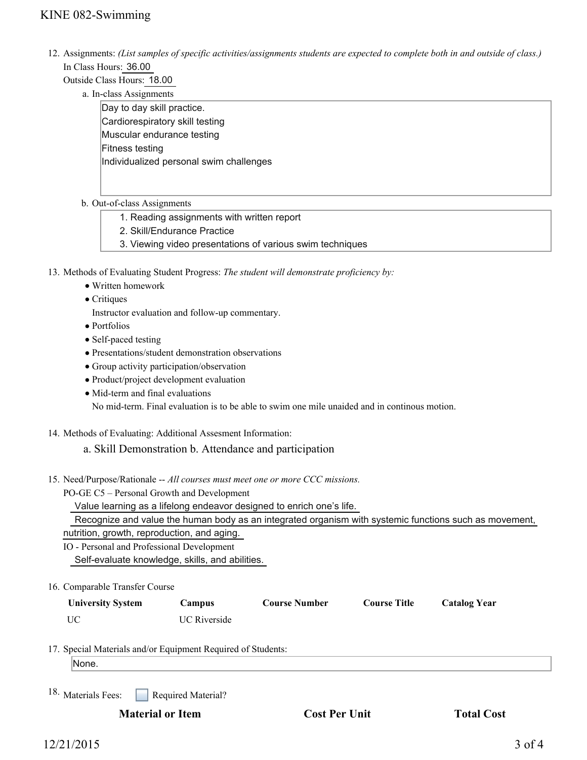12. Assignments: (List samples of specific activities/assignments students are expected to complete both in and outside of class.) In Class Hours: 36.00

Outside Class Hours: 18.00

a. In-class Assignments

Day to day skill practice. Cardiorespiratory skill testing Muscular endurance testing Fitness testing Individualized personal swim challenges

- b. Out-of-class Assignments
	- 1. Reading assignments with written report
	- 2. Skill/Endurance Practice
	- 3. Viewing video presentations of various swim techniques
- 13. Methods of Evaluating Student Progress: The student will demonstrate proficiency by:
	- Written homework
	- Critiques
	- Instructor evaluation and follow-up commentary.
	- Portfolios
	- Self-paced testing
	- Presentations/student demonstration observations
	- Group activity participation/observation
	- Product/project development evaluation
	- Mid-term and final evaluations No mid-term. Final evaluation is to be able to swim one mile unaided and in continous motion.
- 14. Methods of Evaluating: Additional Assesment Information:
	- a. Skill Demonstration b. Attendance and participation
- 15. Need/Purpose/Rationale -- All courses must meet one or more CCC missions.
	- PO-GE C5 Personal Growth and Development

Value learning as a lifelong endeavor designed to enrich one's life.

Recognize and value the human body as an integrated organism with systemic functions such as movement,

nutrition, growth, reproduction, and aging.

IO - Personal and Professional Development

Self-evaluate knowledge, skills, and abilities.

16. Comparable Transfer Course

| <b>University System</b> | Campus              | <b>Course Number</b> | <b>Course Title</b> | <b>Catalog Year</b> |
|--------------------------|---------------------|----------------------|---------------------|---------------------|
| UC                       | <b>UC</b> Riverside |                      |                     |                     |

17. Special Materials and/or Equipment Required of Students:

None.

Required Material? 18. Materials Fees:

**Material or Item Cost Per Unit Total Cost**